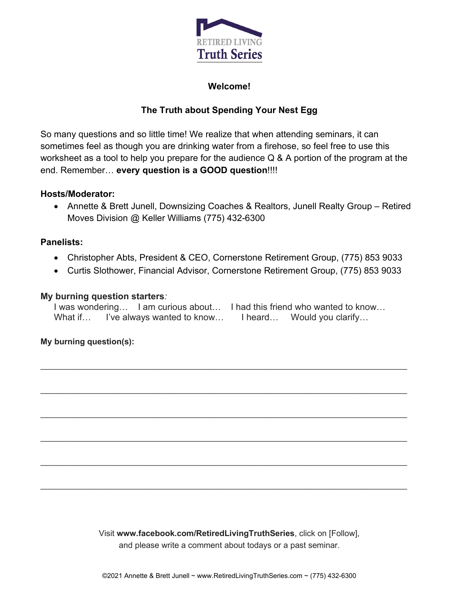

### **Welcome!**

# **The Truth about Spending Your Nest Egg**

So many questions and so little time! We realize that when attending seminars, it can sometimes feel as though you are drinking water from a firehose, so feel free to use this worksheet as a tool to help you prepare for the audience Q & A portion of the program at the end. Remember… **every question is a GOOD question**!!!!

#### **Hosts/Moderator:**

• Annette & Brett Junell, Downsizing Coaches & Realtors, Junell Realty Group – Retired Moves Division @ Keller Williams (775) 432-6300

#### **Panelists:**

- Christopher Abts, President & CEO, Cornerstone Retirement Group, (775) 853 9033
- Curtis Slothower, Financial Advisor, Cornerstone Retirement Group, (775) 853 9033

#### **My burning question starters***:*

I was wondering... I am curious about... I had this friend who wanted to know... What if… I've always wanted to know… I heard… Would you clarify…

 $\_$  , and the set of the set of the set of the set of the set of the set of the set of the set of the set of the set of the set of the set of the set of the set of the set of the set of the set of the set of the set of th

 $\_$  , and the set of the set of the set of the set of the set of the set of the set of the set of the set of the set of the set of the set of the set of the set of the set of the set of the set of the set of the set of th

 $\_$  ,  $\_$  ,  $\_$  ,  $\_$  ,  $\_$  ,  $\_$  ,  $\_$  ,  $\_$  ,  $\_$  ,  $\_$  ,  $\_$  ,  $\_$  ,  $\_$  ,  $\_$  ,  $\_$  ,  $\_$  ,  $\_$  ,  $\_$  ,  $\_$  ,  $\_$  ,  $\_$  ,  $\_$  ,  $\_$  ,  $\_$  ,  $\_$  ,  $\_$  ,  $\_$  ,  $\_$  ,  $\_$  ,  $\_$  ,  $\_$  ,  $\_$  ,  $\_$  ,  $\_$  ,  $\_$  ,  $\_$  ,  $\_$  ,

 $\_$  , and the set of the set of the set of the set of the set of the set of the set of the set of the set of the set of the set of the set of the set of the set of the set of the set of the set of the set of the set of th

 $\_$  ,  $\_$  ,  $\_$  ,  $\_$  ,  $\_$  ,  $\_$  ,  $\_$  ,  $\_$  ,  $\_$  ,  $\_$  ,  $\_$  ,  $\_$  ,  $\_$  ,  $\_$  ,  $\_$  ,  $\_$  ,  $\_$  ,  $\_$  ,  $\_$  ,  $\_$  ,  $\_$  ,  $\_$  ,  $\_$  ,  $\_$  ,  $\_$  ,  $\_$  ,  $\_$  ,  $\_$  ,  $\_$  ,  $\_$  ,  $\_$  ,  $\_$  ,  $\_$  ,  $\_$  ,  $\_$  ,  $\_$  ,  $\_$  ,

 $\_$  ,  $\_$  ,  $\_$  ,  $\_$  ,  $\_$  ,  $\_$  ,  $\_$  ,  $\_$  ,  $\_$  ,  $\_$  ,  $\_$  ,  $\_$  ,  $\_$  ,  $\_$  ,  $\_$  ,  $\_$  ,  $\_$  ,  $\_$  ,  $\_$  ,  $\_$  ,  $\_$  ,  $\_$  ,  $\_$  ,  $\_$  ,  $\_$  ,  $\_$  ,  $\_$  ,  $\_$  ,  $\_$  ,  $\_$  ,  $\_$  ,  $\_$  ,  $\_$  ,  $\_$  ,  $\_$  ,  $\_$  ,  $\_$  ,

#### **My burning question(s):**

Visit **www.facebook.com/RetiredLivingTruthSeries**, click on [Follow], and please write a comment about todays or a past seminar.